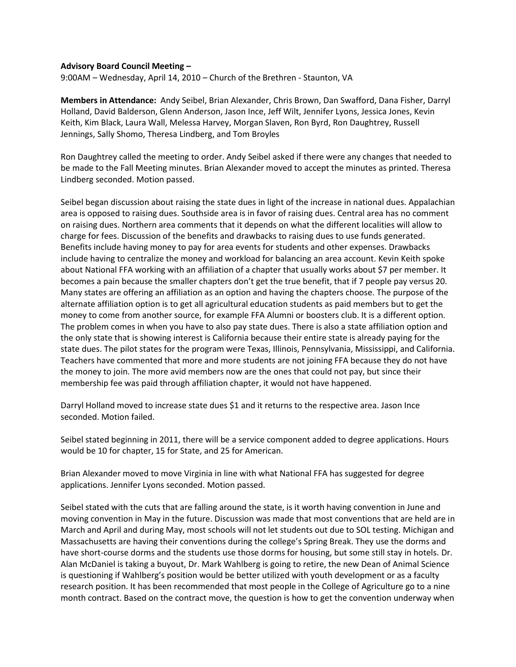## **Advisory Board Council Meeting –**

9:00AM – Wednesday, April 14, 2010 – Church of the Brethren - Staunton, VA

**Members in Attendance:** Andy Seibel, Brian Alexander, Chris Brown, Dan Swafford, Dana Fisher, Darryl Holland, David Balderson, Glenn Anderson, Jason Ince, Jeff Wilt, Jennifer Lyons, Jessica Jones, Kevin Keith, Kim Black, Laura Wall, Melessa Harvey, Morgan Slaven, Ron Byrd, Ron Daughtrey, Russell Jennings, Sally Shomo, Theresa Lindberg, and Tom Broyles

Ron Daughtrey called the meeting to order. Andy Seibel asked if there were any changes that needed to be made to the Fall Meeting minutes. Brian Alexander moved to accept the minutes as printed. Theresa Lindberg seconded. Motion passed.

Seibel began discussion about raising the state dues in light of the increase in national dues. Appalachian area is opposed to raising dues. Southside area is in favor of raising dues. Central area has no comment on raising dues. Northern area comments that it depends on what the different localities will allow to charge for fees. Discussion of the benefits and drawbacks to raising dues to use funds generated. Benefits include having money to pay for area events for students and other expenses. Drawbacks include having to centralize the money and workload for balancing an area account. Kevin Keith spoke about National FFA working with an affiliation of a chapter that usually works about \$7 per member. It becomes a pain because the smaller chapters don't get the true benefit, that if 7 people pay versus 20. Many states are offering an affiliation as an option and having the chapters choose. The purpose of the alternate affiliation option is to get all agricultural education students as paid members but to get the money to come from another source, for example FFA Alumni or boosters club. It is a different option. The problem comes in when you have to also pay state dues. There is also a state affiliation option and the only state that is showing interest is California because their entire state is already paying for the state dues. The pilot states for the program were Texas, Illinois, Pennsylvania, Mississippi, and California. Teachers have commented that more and more students are not joining FFA because they do not have the money to join. The more avid members now are the ones that could not pay, but since their membership fee was paid through affiliation chapter, it would not have happened.

Darryl Holland moved to increase state dues \$1 and it returns to the respective area. Jason Ince seconded. Motion failed.

Seibel stated beginning in 2011, there will be a service component added to degree applications. Hours would be 10 for chapter, 15 for State, and 25 for American.

Brian Alexander moved to move Virginia in line with what National FFA has suggested for degree applications. Jennifer Lyons seconded. Motion passed.

Seibel stated with the cuts that are falling around the state, is it worth having convention in June and moving convention in May in the future. Discussion was made that most conventions that are held are in March and April and during May, most schools will not let students out due to SOL testing. Michigan and Massachusetts are having their conventions during the college's Spring Break. They use the dorms and have short-course dorms and the students use those dorms for housing, but some still stay in hotels. Dr. Alan McDaniel is taking a buyout, Dr. Mark Wahlberg is going to retire, the new Dean of Animal Science is questioning if Wahlberg's position would be better utilized with youth development or as a faculty research position. It has been recommended that most people in the College of Agriculture go to a nine month contract. Based on the contract move, the question is how to get the convention underway when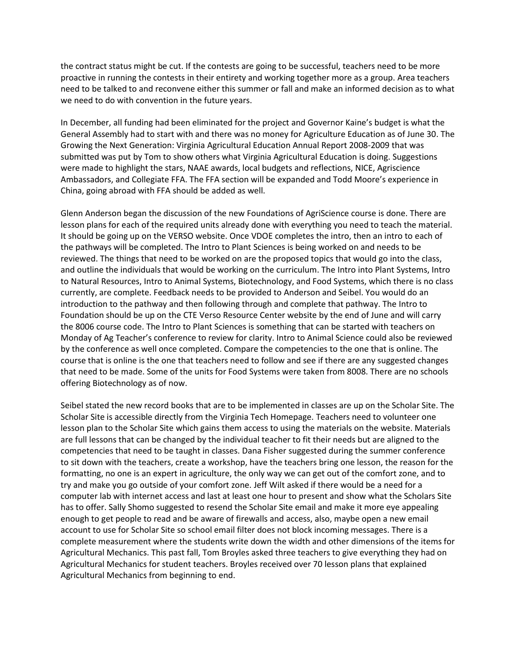the contract status might be cut. If the contests are going to be successful, teachers need to be more proactive in running the contests in their entirety and working together more as a group. Area teachers need to be talked to and reconvene either this summer or fall and make an informed decision as to what we need to do with convention in the future years.

In December, all funding had been eliminated for the project and Governor Kaine's budget is what the General Assembly had to start with and there was no money for Agriculture Education as of June 30. The Growing the Next Generation: Virginia Agricultural Education Annual Report 2008-2009 that was submitted was put by Tom to show others what Virginia Agricultural Education is doing. Suggestions were made to highlight the stars, NAAE awards, local budgets and reflections, NICE, Agriscience Ambassadors, and Collegiate FFA. The FFA section will be expanded and Todd Moore's experience in China, going abroad with FFA should be added as well.

Glenn Anderson began the discussion of the new Foundations of AgriScience course is done. There are lesson plans for each of the required units already done with everything you need to teach the material. It should be going up on the VERSO website. Once VDOE completes the intro, then an intro to each of the pathways will be completed. The Intro to Plant Sciences is being worked on and needs to be reviewed. The things that need to be worked on are the proposed topics that would go into the class, and outline the individuals that would be working on the curriculum. The Intro into Plant Systems, Intro to Natural Resources, Intro to Animal Systems, Biotechnology, and Food Systems, which there is no class currently, are complete. Feedback needs to be provided to Anderson and Seibel. You would do an introduction to the pathway and then following through and complete that pathway. The Intro to Foundation should be up on the CTE Verso Resource Center website by the end of June and will carry the 8006 course code. The Intro to Plant Sciences is something that can be started with teachers on Monday of Ag Teacher's conference to review for clarity. Intro to Animal Science could also be reviewed by the conference as well once completed. Compare the competencies to the one that is online. The course that is online is the one that teachers need to follow and see if there are any suggested changes that need to be made. Some of the units for Food Systems were taken from 8008. There are no schools offering Biotechnology as of now.

Seibel stated the new record books that are to be implemented in classes are up on the Scholar Site. The Scholar Site is accessible directly from the Virginia Tech Homepage. Teachers need to volunteer one lesson plan to the Scholar Site which gains them access to using the materials on the website. Materials are full lessons that can be changed by the individual teacher to fit their needs but are aligned to the competencies that need to be taught in classes. Dana Fisher suggested during the summer conference to sit down with the teachers, create a workshop, have the teachers bring one lesson, the reason for the formatting, no one is an expert in agriculture, the only way we can get out of the comfort zone, and to try and make you go outside of your comfort zone. Jeff Wilt asked if there would be a need for a computer lab with internet access and last at least one hour to present and show what the Scholars Site has to offer. Sally Shomo suggested to resend the Scholar Site email and make it more eye appealing enough to get people to read and be aware of firewalls and access, also, maybe open a new email account to use for Scholar Site so school email filter does not block incoming messages. There is a complete measurement where the students write down the width and other dimensions of the items for Agricultural Mechanics. This past fall, Tom Broyles asked three teachers to give everything they had on Agricultural Mechanics for student teachers. Broyles received over 70 lesson plans that explained Agricultural Mechanics from beginning to end.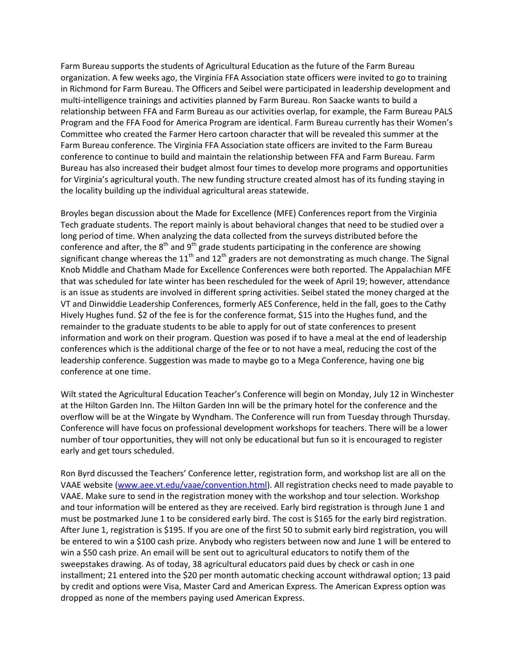Farm Bureau supports the students of Agricultural Education as the future of the Farm Bureau organization. A few weeks ago, the Virginia FFA Association state officers were invited to go to training in Richmond for Farm Bureau. The Officers and Seibel were participated in leadership development and multi-intelligence trainings and activities planned by Farm Bureau. Ron Saacke wants to build a relationship between FFA and Farm Bureau as our activities overlap, for example, the Farm Bureau PALS Program and the FFA Food for America Program are identical. Farm Bureau currently has their Women's Committee who created the Farmer Hero cartoon character that will be revealed this summer at the Farm Bureau conference. The Virginia FFA Association state officers are invited to the Farm Bureau conference to continue to build and maintain the relationship between FFA and Farm Bureau. Farm Bureau has also increased their budget almost four times to develop more programs and opportunities for Virginia's agricultural youth. The new funding structure created almost has of its funding staying in the locality building up the individual agricultural areas statewide.

Broyles began discussion about the Made for Excellence (MFE) Conferences report from the Virginia Tech graduate students. The report mainly is about behavioral changes that need to be studied over a long period of time. When analyzing the data collected from the surveys distributed before the conference and after, the  $8<sup>th</sup>$  and  $9<sup>th</sup>$  grade students participating in the conference are showing significant change whereas the  $11<sup>th</sup>$  and  $12<sup>th</sup>$  graders are not demonstrating as much change. The Signal Knob Middle and Chatham Made for Excellence Conferences were both reported. The Appalachian MFE that was scheduled for late winter has been rescheduled for the week of April 19; however, attendance is an issue as students are involved in different spring activities. Seibel stated the money charged at the VT and Dinwiddie Leadership Conferences, formerly AES Conference, held in the fall, goes to the Cathy Hively Hughes fund. \$2 of the fee is for the conference format, \$15 into the Hughes fund, and the remainder to the graduate students to be able to apply for out of state conferences to present information and work on their program. Question was posed if to have a meal at the end of leadership conferences which is the additional charge of the fee or to not have a meal, reducing the cost of the leadership conference. Suggestion was made to maybe go to a Mega Conference, having one big conference at one time.

Wilt stated the Agricultural Education Teacher's Conference will begin on Monday, July 12 in Winchester at the Hilton Garden Inn. The Hilton Garden Inn will be the primary hotel for the conference and the overflow will be at the Wingate by Wyndham. The Conference will run from Tuesday through Thursday. Conference will have focus on professional development workshops for teachers. There will be a lower number of tour opportunities, they will not only be educational but fun so it is encouraged to register early and get tours scheduled.

Ron Byrd discussed the Teachers' Conference letter, registration form, and workshop list are all on the VAAE website [\(www.aee.vt.edu/vaae/convention.html\)](http://www.aee.vt.edu/vaae/convention.html). All registration checks need to made payable to VAAE. Make sure to send in the registration money with the workshop and tour selection. Workshop and tour information will be entered as they are received. Early bird registration is through June 1 and must be postmarked June 1 to be considered early bird. The cost is \$165 for the early bird registration. After June 1, registration is \$195. If you are one of the first 50 to submit early bird registration, you will be entered to win a \$100 cash prize. Anybody who registers between now and June 1 will be entered to win a \$50 cash prize. An email will be sent out to agricultural educators to notify them of the sweepstakes drawing. As of today, 38 agricultural educators paid dues by check or cash in one installment; 21 entered into the \$20 per month automatic checking account withdrawal option; 13 paid by credit and options were Visa, Master Card and American Express. The American Express option was dropped as none of the members paying used American Express.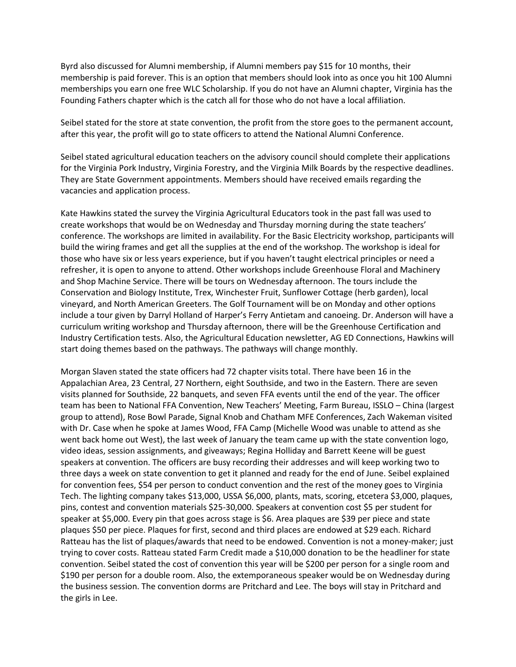Byrd also discussed for Alumni membership, if Alumni members pay \$15 for 10 months, their membership is paid forever. This is an option that members should look into as once you hit 100 Alumni memberships you earn one free WLC Scholarship. If you do not have an Alumni chapter, Virginia has the Founding Fathers chapter which is the catch all for those who do not have a local affiliation.

Seibel stated for the store at state convention, the profit from the store goes to the permanent account, after this year, the profit will go to state officers to attend the National Alumni Conference.

Seibel stated agricultural education teachers on the advisory council should complete their applications for the Virginia Pork Industry, Virginia Forestry, and the Virginia Milk Boards by the respective deadlines. They are State Government appointments. Members should have received emails regarding the vacancies and application process.

Kate Hawkins stated the survey the Virginia Agricultural Educators took in the past fall was used to create workshops that would be on Wednesday and Thursday morning during the state teachers' conference. The workshops are limited in availability. For the Basic Electricity workshop, participants will build the wiring frames and get all the supplies at the end of the workshop. The workshop is ideal for those who have six or less years experience, but if you haven't taught electrical principles or need a refresher, it is open to anyone to attend. Other workshops include Greenhouse Floral and Machinery and Shop Machine Service. There will be tours on Wednesday afternoon. The tours include the Conservation and Biology Institute, Trex, Winchester Fruit, Sunflower Cottage (herb garden), local vineyard, and North American Greeters. The Golf Tournament will be on Monday and other options include a tour given by Darryl Holland of Harper's Ferry Antietam and canoeing. Dr. Anderson will have a curriculum writing workshop and Thursday afternoon, there will be the Greenhouse Certification and Industry Certification tests. Also, the Agricultural Education newsletter, AG ED Connections, Hawkins will start doing themes based on the pathways. The pathways will change monthly.

Morgan Slaven stated the state officers had 72 chapter visits total. There have been 16 in the Appalachian Area, 23 Central, 27 Northern, eight Southside, and two in the Eastern. There are seven visits planned for Southside, 22 banquets, and seven FFA events until the end of the year. The officer team has been to National FFA Convention, New Teachers' Meeting, Farm Bureau, ISSLO – China (largest group to attend), Rose Bowl Parade, Signal Knob and Chatham MFE Conferences, Zach Wakeman visited with Dr. Case when he spoke at James Wood, FFA Camp (Michelle Wood was unable to attend as she went back home out West), the last week of January the team came up with the state convention logo, video ideas, session assignments, and giveaways; Regina Holliday and Barrett Keene will be guest speakers at convention. The officers are busy recording their addresses and will keep working two to three days a week on state convention to get it planned and ready for the end of June. Seibel explained for convention fees, \$54 per person to conduct convention and the rest of the money goes to Virginia Tech. The lighting company takes \$13,000, USSA \$6,000, plants, mats, scoring, etcetera \$3,000, plaques, pins, contest and convention materials \$25-30,000. Speakers at convention cost \$5 per student for speaker at \$5,000. Every pin that goes across stage is \$6. Area plaques are \$39 per piece and state plaques \$50 per piece. Plaques for first, second and third places are endowed at \$29 each. Richard Ratteau has the list of plaques/awards that need to be endowed. Convention is not a money-maker; just trying to cover costs. Ratteau stated Farm Credit made a \$10,000 donation to be the headliner for state convention. Seibel stated the cost of convention this year will be \$200 per person for a single room and \$190 per person for a double room. Also, the extemporaneous speaker would be on Wednesday during the business session. The convention dorms are Pritchard and Lee. The boys will stay in Pritchard and the girls in Lee.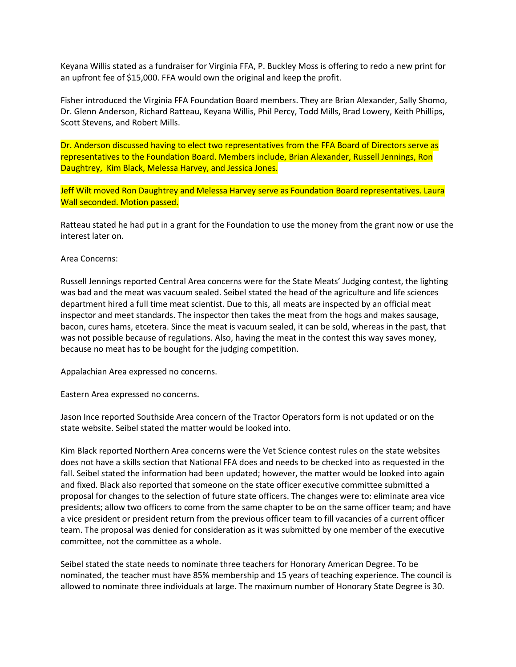Keyana Willis stated as a fundraiser for Virginia FFA, P. Buckley Moss is offering to redo a new print for an upfront fee of \$15,000. FFA would own the original and keep the profit.

Fisher introduced the Virginia FFA Foundation Board members. They are Brian Alexander, Sally Shomo, Dr. Glenn Anderson, Richard Ratteau, Keyana Willis, Phil Percy, Todd Mills, Brad Lowery, Keith Phillips, Scott Stevens, and Robert Mills.

Dr. Anderson discussed having to elect two representatives from the FFA Board of Directors serve as representatives to the Foundation Board. Members include, Brian Alexander, Russell Jennings, Ron Daughtrey, Kim Black, Melessa Harvey, and Jessica Jones.

Jeff Wilt moved Ron Daughtrey and Melessa Harvey serve as Foundation Board representatives. Laura Wall seconded. Motion passed.

Ratteau stated he had put in a grant for the Foundation to use the money from the grant now or use the interest later on.

Area Concerns:

Russell Jennings reported Central Area concerns were for the State Meats' Judging contest, the lighting was bad and the meat was vacuum sealed. Seibel stated the head of the agriculture and life sciences department hired a full time meat scientist. Due to this, all meats are inspected by an official meat inspector and meet standards. The inspector then takes the meat from the hogs and makes sausage, bacon, cures hams, etcetera. Since the meat is vacuum sealed, it can be sold, whereas in the past, that was not possible because of regulations. Also, having the meat in the contest this way saves money, because no meat has to be bought for the judging competition.

Appalachian Area expressed no concerns.

Eastern Area expressed no concerns.

Jason Ince reported Southside Area concern of the Tractor Operators form is not updated or on the state website. Seibel stated the matter would be looked into.

Kim Black reported Northern Area concerns were the Vet Science contest rules on the state websites does not have a skills section that National FFA does and needs to be checked into as requested in the fall. Seibel stated the information had been updated; however, the matter would be looked into again and fixed. Black also reported that someone on the state officer executive committee submitted a proposal for changes to the selection of future state officers. The changes were to: eliminate area vice presidents; allow two officers to come from the same chapter to be on the same officer team; and have a vice president or president return from the previous officer team to fill vacancies of a current officer team. The proposal was denied for consideration as it was submitted by one member of the executive committee, not the committee as a whole.

Seibel stated the state needs to nominate three teachers for Honorary American Degree. To be nominated, the teacher must have 85% membership and 15 years of teaching experience. The council is allowed to nominate three individuals at large. The maximum number of Honorary State Degree is 30.